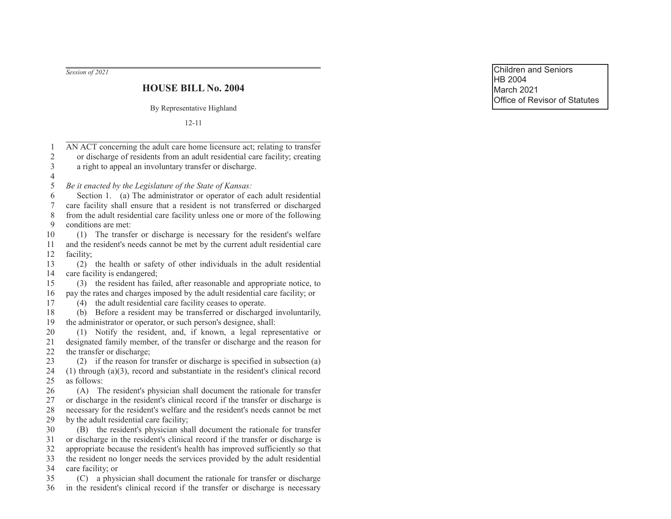Session of 2021

## **HOUSE BILL No. 2004**

By Representative Highland

 $12 - 11$ 

| $\mathbf{1}$              | AN ACT concerning the adult care home licensure act; relating to transfer                                                                                   |
|---------------------------|-------------------------------------------------------------------------------------------------------------------------------------------------------------|
| $\overline{2}$            | or discharge of residents from an adult residential care facility; creating                                                                                 |
| $\overline{3}$            | a right to appeal an involuntary transfer or discharge.                                                                                                     |
| $\overline{4}$            |                                                                                                                                                             |
| 5                         | Be it enacted by the Legislature of the State of Kansas:                                                                                                    |
| 6                         | Section 1. (a) The administrator or operator of each adult residential                                                                                      |
| $\boldsymbol{7}$<br>$8\,$ | care facility shall ensure that a resident is not transferred or discharged<br>from the adult residential care facility unless one or more of the following |
| 9                         | conditions are met:                                                                                                                                         |
| $10\,$                    | The transfer or discharge is necessary for the resident's welfare<br>(1)                                                                                    |
| 11                        | and the resident's needs cannot be met by the current adult residential care                                                                                |
| 12                        | facility;                                                                                                                                                   |
| 13                        | the health or safety of other individuals in the adult residential<br>(2)                                                                                   |
| 14                        | care facility is endangered;                                                                                                                                |
| 15                        | the resident has failed, after reasonable and appropriate notice, to<br>(3)                                                                                 |
| 16                        | pay the rates and charges imposed by the adult residential care facility; or                                                                                |
| 17                        | the adult residential care facility ceases to operate.<br>(4)                                                                                               |
| 18                        | Before a resident may be transferred or discharged involuntarily,<br>(b)                                                                                    |
| 19                        | the administrator or operator, or such person's designee, shall:                                                                                            |
| 20                        | Notify the resident, and, if known, a legal representative or<br>(1)                                                                                        |
| 21                        | designated family member, of the transfer or discharge and the reason for                                                                                   |
| 22                        | the transfer or discharge;                                                                                                                                  |
| 23                        | (2) if the reason for transfer or discharge is specified in subsection (a)                                                                                  |
| 24                        | $(1)$ through $(a)(3)$ , record and substantiate in the resident's clinical record                                                                          |
| 25                        | as follows:                                                                                                                                                 |
| 26                        | (A) The resident's physician shall document the rationale for transfer                                                                                      |
| 27                        | or discharge in the resident's clinical record if the transfer or discharge is                                                                              |
| 28                        | necessary for the resident's welfare and the resident's needs cannot be met                                                                                 |
| 29                        | by the adult residential care facility;                                                                                                                     |
| 30                        | the resident's physician shall document the rationale for transfer<br>(B)                                                                                   |
| 31                        | or discharge in the resident's clinical record if the transfer or discharge is                                                                              |
| 32                        | appropriate because the resident's health has improved sufficiently so that                                                                                 |
| 33                        | the resident no longer needs the services provided by the adult residential                                                                                 |
| 34                        | care facility; or                                                                                                                                           |
| 35                        | a physician shall document the rationale for transfer or discharge<br>(C)                                                                                   |
| 36                        | in the resident's clinical record if the transfer or discharge is necessary                                                                                 |

Children and Seniors HB 2004 March 2021 Office of Revisor of Statutes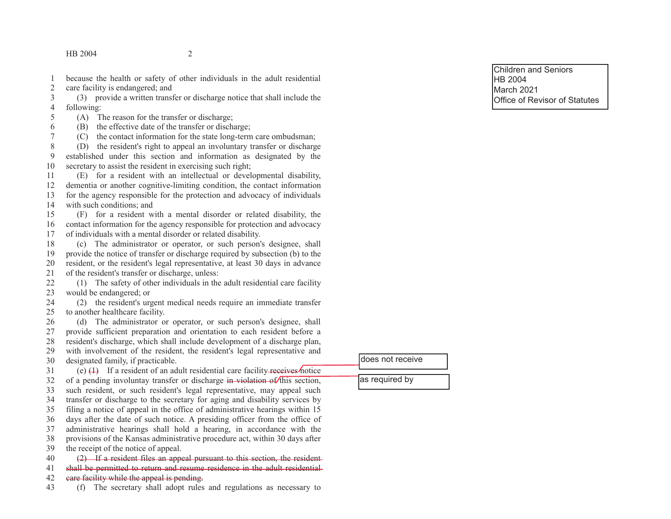because the health or safety of other individuals in the adult residential  $\mathbf{1}$  $\overline{2}$ care facility is endangered; and

(3) provide a written transfer or discharge notice that shall include the 3  $\overline{4}$ following:

5 (A) The reason for the transfer or discharge;

6 (B) the effective date of the transfer or discharge;

 $\overline{7}$ (C) the contact information for the state long-term care ombudsman;

8 (D) the resident's right to appeal an involuntary transfer or discharge established under this section and information as designated by the 9 10 secretary to assist the resident in exercising such right;

(E) for a resident with an intellectual or developmental disability, 11 dementia or another cognitive-limiting condition, the contact information 12 for the agency responsible for the protection and advocacy of individuals 13 with such conditions: and 14

(F) for a resident with a mental disorder or related disability, the 15 contact information for the agency responsible for protection and advocacy 16 of individuals with a mental disorder or related disability. 17

(c) The administrator or operator, or such person's designee, shall 18 19 provide the notice of transfer or discharge required by subsection (b) to the resident, or the resident's legal representative, at least 30 days in advance 20 of the resident's transfer or discharge, unless: 21

22 (1) The safety of other individuals in the adult residential care facility would be endangered: or 23

24 (2) the resident's urgent medical needs require an immediate transfer to another healthcare facility. 25

(d) The administrator or operator, or such person's designee, shall 26 provide sufficient preparation and orientation to each resident before a 27 28 resident's discharge, which shall include development of a discharge plan, 29 with involvement of the resident, the resident's legal representative and designated family, if practicable. 30

(e)  $(1)$  If a resident of an adult residential care facility receives notice  $31$ of a pending involuntay transfer or discharge in violation of this section, 32 such resident, or such resident's legal representative, may appeal such 33 transfer or discharge to the secretary for aging and disability services by 34 filing a notice of appeal in the office of administrative hearings within 15 35 days after the date of such notice. A presiding officer from the office of 36 administrative hearings shall hold a hearing, in accordance with the 37 provisions of the Kansas administrative procedure act, within 30 days after 38 the receipt of the notice of appeal. 39  $(2)$  If a resident files an appeal pursuant to this section, the resident-40

shall be permitted to return and resume residence in the adult residential 41 care facility while the appeal is pending. 42

(f) The secretary shall adopt rules and regulations as necessary to 43

**Children and Seniors** HB 2004 **March 2021** Office of Revisor of Statutes

ldoes not receive

as required by